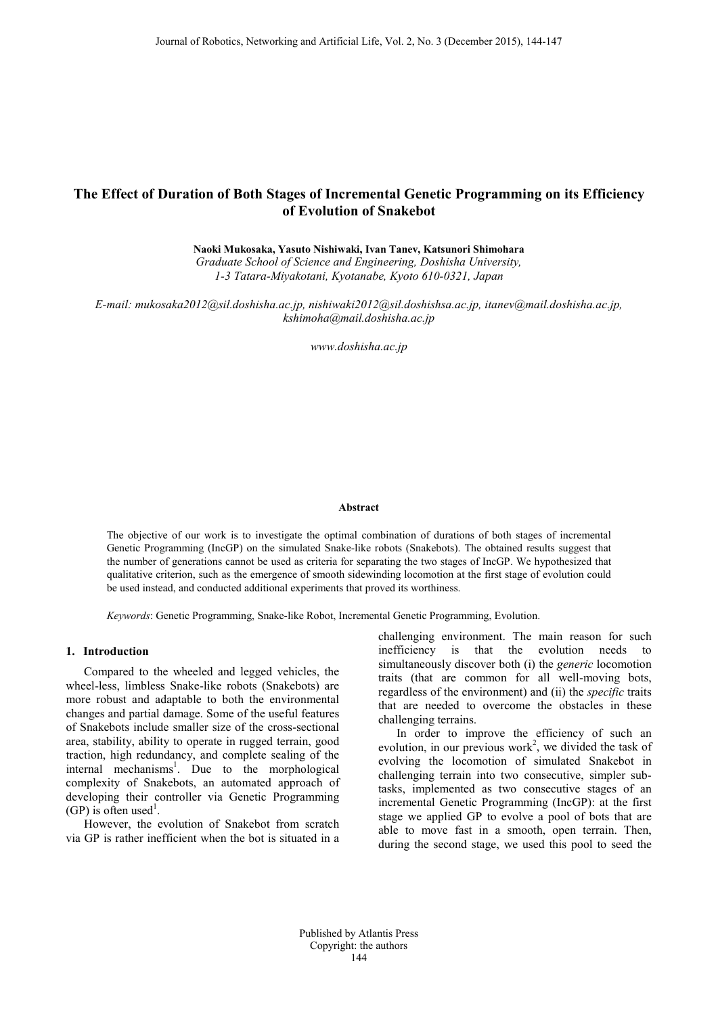# **The Effect of Duration of Both Stages of Incremental Genetic Programming on its Efficiency of Evolution of Snakebot**

**Naoki Mukosaka, Yasuto Nishiwaki, Ivan Tanev, Katsunori Shimohara**

*Graduate School of Science and Engineering, Doshisha University, 1-3 Tatara-Miyakotani, Kyotanabe, Kyoto 610-0321, Japan*

*E-mail: [mukosaka2012@sil.doshisha.ac.jp,](mailto:mukosaka2012@sil.doshisha.ac.jp) [nishiwaki2012@sil.doshishsa.ac.jp,](mailto:nishiwaki2012@sil.doshishsa.ac.jp) [itanev@mail.doshisha.ac.jp,](mailto:itanev@mail.doshisha.ac.jp) kshimoha@mail.doshisha.ac.jp*

*www.doshisha.ac.jp*

#### **Abstract**

The objective of our work is to investigate the optimal combination of durations of both stages of incremental Genetic Programming (IncGP) on the simulated Snake-like robots (Snakebots). The obtained results suggest that the number of generations cannot be used as criteria for separating the two stages of IncGP. We hypothesized that qualitative criterion, such as the emergence of smooth sidewinding locomotion at the first stage of evolution could be used instead, and conducted additional experiments that proved its worthiness.

*Keywords*: Genetic Programming, Snake-like Robot, Incremental Genetic Programming, Evolution.

# **1. Introduction**

Compared to the wheeled and legged vehicles, the wheel-less, limbless Snake-like robots (Snakebots) are more robust and adaptable to both the environmental changes and partial damage. Some of the useful features of Snakebots include smaller size of the cross-sectional area, stability, ability to operate in rugged terrain, good traction, high redundancy, and complete sealing of the internal mechanisms<sup>1</sup>. Due to the morphological complexity of Snakebots, an automated approach of developing their controller via Genetic Programming (GP) is often used<sup>1</sup>.

However, the evolution of Snakebot from scratch via GP is rather inefficient when the bot is situated in a

challenging environment. The main reason for such inefficiency is that the evolution needs to simultaneously discover both (i) the *generic* locomotion traits (that are common for all well-moving bots, regardless of the environment) and (ii) the *specific* traits that are needed to overcome the obstacles in these challenging terrains.

 In order to improve the efficiency of such an evolution, in our previous work<sup>2</sup>, we divided the task of evolving the locomotion of simulated Snakebot in challenging terrain into two consecutive, simpler subtasks, implemented as two consecutive stages of an incremental Genetic Programming (IncGP): at the first stage we applied GP to evolve a pool of bots that are able to move fast in a smooth, open terrain. Then, during the second stage, we used this pool to seed the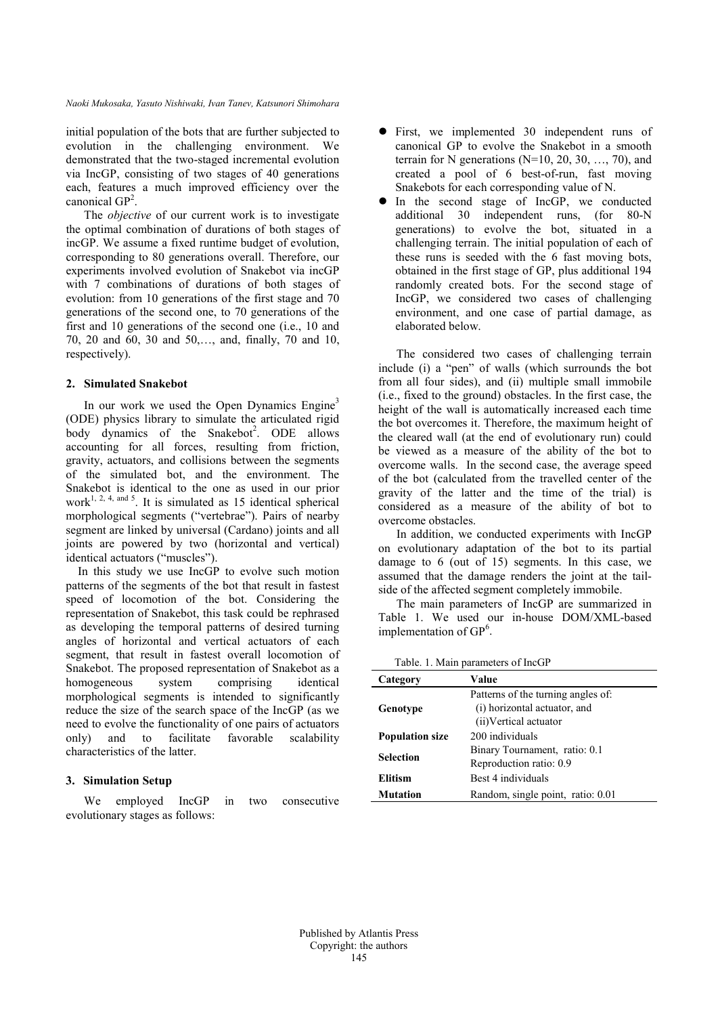*Naoki Mukosaka, Yasuto Nishiwaki, Ivan Tanev, Katsunori Shimohara*

initial population of the bots that are further subjected to evolution in the challenging environment. We demonstrated that the two-staged incremental evolution via IncGP, consisting of two stages of 40 generations each, features a much improved efficiency over the canonical GP<sup>2</sup>.

The *objective* of our current work is to investigate the optimal combination of durations of both stages of incGP. We assume a fixed runtime budget of evolution, corresponding to 80 generations overall. Therefore, our experiments involved evolution of Snakebot via incGP with 7 combinations of durations of both stages of evolution: from 10 generations of the first stage and 70 generations of the second one, to 70 generations of the first and 10 generations of the second one (i.e., 10 and 70, 20 and 60, 30 and 50,…, and, finally, 70 and 10, respectively).

#### **2. Simulated Snakebot**

In our work we used the Open Dynamics Engine<sup>3</sup> (ODE) physics library to simulate the articulated rigid body dynamics of the Snakebot<sup>2</sup>. ODE allows accounting for all forces, resulting from friction, gravity, actuators, and collisions between the segments of the simulated bot, and the environment. The Snakebot is identical to the one as used in our prior work<sup>1, 2, 4, and 5</sup>. It is simulated as 15 identical spherical morphological segments ("vertebrae"). Pairs of nearby segment are linked by universal (Cardano) joints and all joints are powered by two (horizontal and vertical) identical actuators ("muscles").

In this study we use IncGP to evolve such motion patterns of the segments of the bot that result in fastest speed of locomotion of the bot. Considering the representation of Snakebot, this task could be rephrased as developing the temporal patterns of desired turning angles of horizontal and vertical actuators of each segment, that result in fastest overall locomotion of Snakebot. The proposed representation of Snakebot as a homogeneous system comprising identical morphological segments is intended to significantly reduce the size of the search space of the IncGP (as we need to evolve the functionality of one pairs of actuators only) and to facilitate favorable scalability characteristics of the latter.

# **3. Simulation Setup**

We employed IncGP in two consecutive evolutionary stages as follows:

- First, we implemented 30 independent runs of canonical GP to evolve the Snakebot in a smooth terrain for N generations ( $N=10, 20, 30, \ldots, 70$ ), and created a pool of 6 best-of-run, fast moving Snakebots for each corresponding value of N.
- In the second stage of IncGP, we conducted additional 30 independent runs, (for 80-N generations) to evolve the bot, situated in a challenging terrain. The initial population of each of these runs is seeded with the 6 fast moving bots, obtained in the first stage of GP, plus additional 194 randomly created bots. For the second stage of IncGP, we considered two cases of challenging environment, and one case of partial damage, as elaborated below.

The considered two cases of challenging terrain include (i) a "pen" of walls (which surrounds the bot from all four sides), and (ii) multiple small immobile (i.e., fixed to the ground) obstacles. In the first case, the height of the wall is automatically increased each time the bot overcomes it. Therefore, the maximum height of the cleared wall (at the end of evolutionary run) could be viewed as a measure of the ability of the bot to overcome walls. In the second case, the average speed of the bot (calculated from the travelled center of the gravity of the latter and the time of the trial) is considered as a measure of the ability of bot to overcome obstacles.

In addition, we conducted experiments with IncGP on evolutionary adaptation of the bot to its partial damage to 6 (out of 15) segments. In this case, we assumed that the damage renders the joint at the tailside of the affected segment completely immobile.

The main parameters of IncGP are summarized in Table 1. We used our in-house DOM/XML-based implementation of  $GP^6$ .

| Table. 1. Main parameters of IncGP |                                                                                              |  |  |
|------------------------------------|----------------------------------------------------------------------------------------------|--|--|
| Category                           | Value                                                                                        |  |  |
| Genotype                           | Patterns of the turning angles of:<br>(i) horizontal actuator, and<br>(ii) Vertical actuator |  |  |
| <b>Population size</b>             | 200 individuals                                                                              |  |  |
| <b>Selection</b>                   | Binary Tournament, ratio: 0.1<br>Reproduction ratio: 0.9                                     |  |  |
| Elitism                            | Best 4 individuals                                                                           |  |  |
| Mutation                           | Random, single point, ratio: 0.01                                                            |  |  |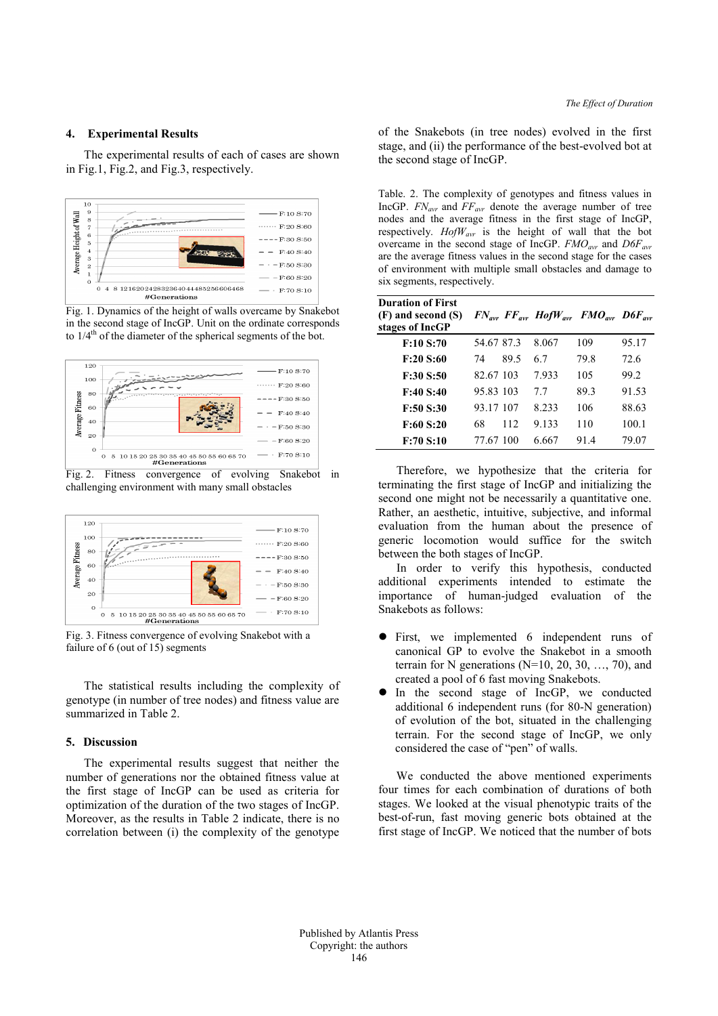# **4. Experimental Results**

The experimental results of each of cases are shown in Fig.1, Fig.2, and Fig.3, respectively.



Fig. 1. Dynamics of the height of walls overcame by Snakebot in the second stage of IncGP. Unit on the ordinate corresponds to  $1/4<sup>th</sup>$  of the diameter of the spherical segments of the bot.







Fig. 3. Fitness convergence of evolving Snakebot with a failure of 6 (out of 15) segments

The statistical results including the complexity of genotype (in number of tree nodes) and fitness value are summarized in Table 2.

#### **5. Discussion**

The experimental results suggest that neither the number of generations nor the obtained fitness value at the first stage of IncGP can be used as criteria for optimization of the duration of the two stages of IncGP. Moreover, as the results in Table 2 indicate, there is no correlation between (i) the complexity of the genotype of the Snakebots (in tree nodes) evolved in the first stage, and (ii) the performance of the best-evolved bot at the second stage of IncGP.

Table. 2. The complexity of genotypes and fitness values in IncGP. *FN<sub>avr</sub>* and *FF<sub>avr</sub>* denote the average number of tree nodes and the average fitness in the first stage of IncGP, respectively. *HofWavr* is the height of wall that the bot overcame in the second stage of IncGP.  $FMO_{\text{avr}}$  and  $D6F_{\text{avr}}$ are the average fitness values in the second stage for the cases of environment with multiple small obstacles and damage to six segments, respectively.

| <b>Duration of First</b><br>(F) and second (S)<br>stages of IncGP |            |      |         | $FN_{avr}$ $FF_{avr}$ $HofW_{avr}$ $FMO_{avr}$ $D6F_{avr}$ |       |
|-------------------------------------------------------------------|------------|------|---------|------------------------------------------------------------|-------|
| F:10 S:70                                                         | 54 67 87 3 |      | 8 0 6 7 | 109                                                        | 95.17 |
| F:20 S:60                                                         | 74         | 89.5 | 67      | 79.8                                                       | 72.6  |
| F:30 S:50                                                         | 82.67.103  |      | 7933    | 105                                                        | 99.2  |
| F:40 S:40                                                         | 95.83 103  |      | 77      | 89.3                                                       | 91.53 |
| F:50 S:30                                                         | 93 17 107  |      | 8.233   | 106                                                        | 88.63 |
| F:60 S:20                                                         | 68         | 112  | 9.133   | 110                                                        | 100.1 |
| F:70 S:10                                                         | 77.67.100  |      | 6.667   | 91.4                                                       | 79.07 |

Therefore, we hypothesize that the criteria for terminating the first stage of IncGP and initializing the second one might not be necessarily a quantitative one. Rather, an aesthetic, intuitive, subjective, and informal evaluation from the human about the presence of generic locomotion would suffice for the switch between the both stages of IncGP.

In order to verify this hypothesis, conducted additional experiments intended to estimate the importance of human-judged evaluation of the Snakebots as follows:

- First, we implemented 6 independent runs of canonical GP to evolve the Snakebot in a smooth terrain for N generations ( $N=10, 20, 30, \ldots, 70$ ), and created a pool of 6 fast moving Snakebots.
- In the second stage of IncGP, we conducted additional 6 independent runs (for 80-N generation) of evolution of the bot, situated in the challenging terrain. For the second stage of IncGP, we only considered the case of "pen" of walls.

We conducted the above mentioned experiments four times for each combination of durations of both stages. We looked at the visual phenotypic traits of the best-of-run, fast moving generic bots obtained at the first stage of IncGP. We noticed that the number of bots